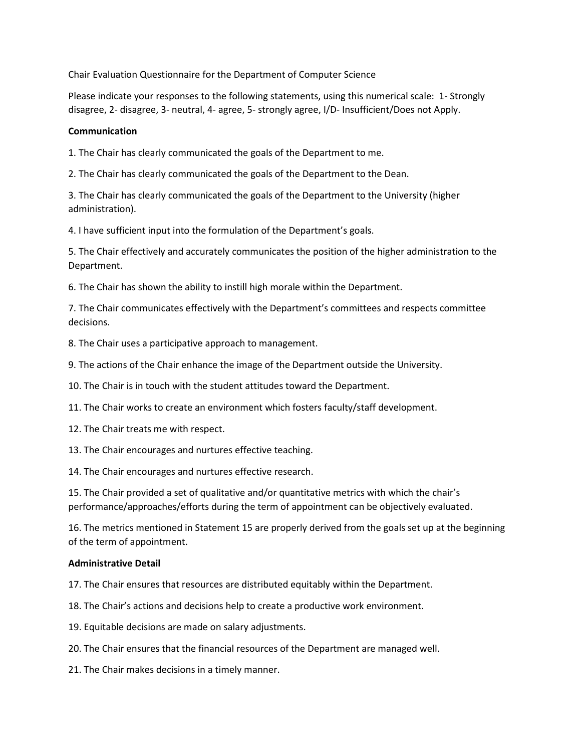Chair Evaluation Questionnaire for the Department of Computer Science

Please indicate your responses to the following statements, using this numerical scale: 1- Strongly disagree, 2- disagree, 3- neutral, 4- agree, 5- strongly agree, I/D- Insufficient/Does not Apply.

## **Communication**

1. The Chair has clearly communicated the goals of the Department to me.

2. The Chair has clearly communicated the goals of the Department to the Dean.

3. The Chair has clearly communicated the goals of the Department to the University (higher administration).

4. I have sufficient input into the formulation of the Department's goals.

5. The Chair effectively and accurately communicates the position of the higher administration to the Department.

6. The Chair has shown the ability to instill high morale within the Department.

7. The Chair communicates effectively with the Department's committees and respects committee decisions.

8. The Chair uses a participative approach to management.

9. The actions of the Chair enhance the image of the Department outside the University.

10. The Chair is in touch with the student attitudes toward the Department.

11. The Chair works to create an environment which fosters faculty/staff development.

12. The Chair treats me with respect.

13. The Chair encourages and nurtures effective teaching.

14. The Chair encourages and nurtures effective research.

15. The Chair provided a set of qualitative and/or quantitative metrics with which the chair's performance/approaches/efforts during the term of appointment can be objectively evaluated.

16. The metrics mentioned in Statement 15 are properly derived from the goals set up at the beginning of the term of appointment.

## **Administrative Detail**

17. The Chair ensures that resources are distributed equitably within the Department.

18. The Chair's actions and decisions help to create a productive work environment.

19. Equitable decisions are made on salary adjustments.

20. The Chair ensures that the financial resources of the Department are managed well.

21. The Chair makes decisions in a timely manner.